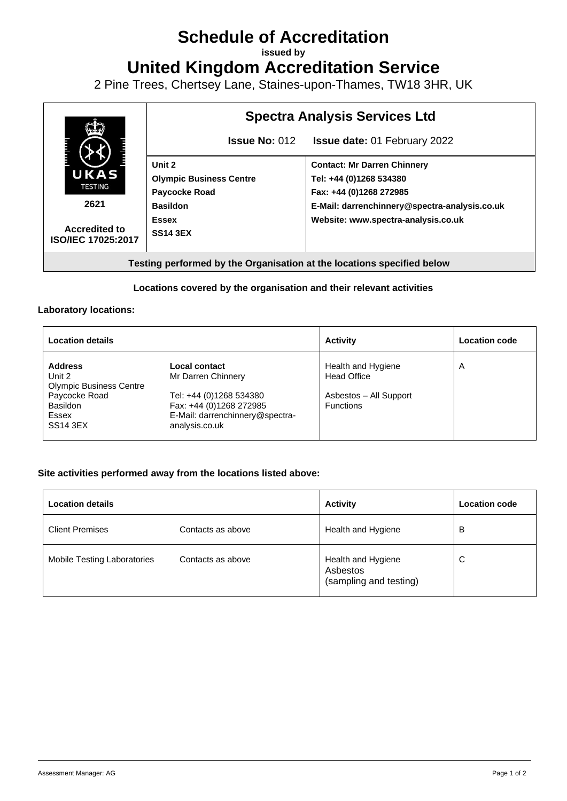# **Schedule of Accreditation**

**issued by**

**United Kingdom Accreditation Service**

2 Pine Trees, Chertsey Lane, Staines-upon-Thames, TW18 3HR, UK



## **Locations covered by the organisation and their relevant activities**

#### **Laboratory locations:**

| <b>Location details</b>                                    |                                                                                                         | <b>Activity</b>                            | <b>Location code</b> |
|------------------------------------------------------------|---------------------------------------------------------------------------------------------------------|--------------------------------------------|----------------------|
| <b>Address</b><br>Unit 2<br><b>Olympic Business Centre</b> | Local contact<br>Mr Darren Chinnery                                                                     | Health and Hygiene<br><b>Head Office</b>   | A                    |
| Paycocke Road<br>Basildon<br>Essex<br><b>SS14 3EX</b>      | Tel: +44 (0)1268 534380<br>Fax: +44 (0)1268 272985<br>E-Mail: darrenchinnery@spectra-<br>analysis.co.uk | Asbestos - All Support<br><b>Functions</b> |                      |

### **Site activities performed away from the locations listed above:**

| <b>Location details</b>     |                   | <b>Activity</b>                                          | <b>Location code</b> |
|-----------------------------|-------------------|----------------------------------------------------------|----------------------|
| <b>Client Premises</b>      | Contacts as above | Health and Hygiene                                       | в                    |
| Mobile Testing Laboratories | Contacts as above | Health and Hygiene<br>Asbestos<br>(sampling and testing) | C                    |